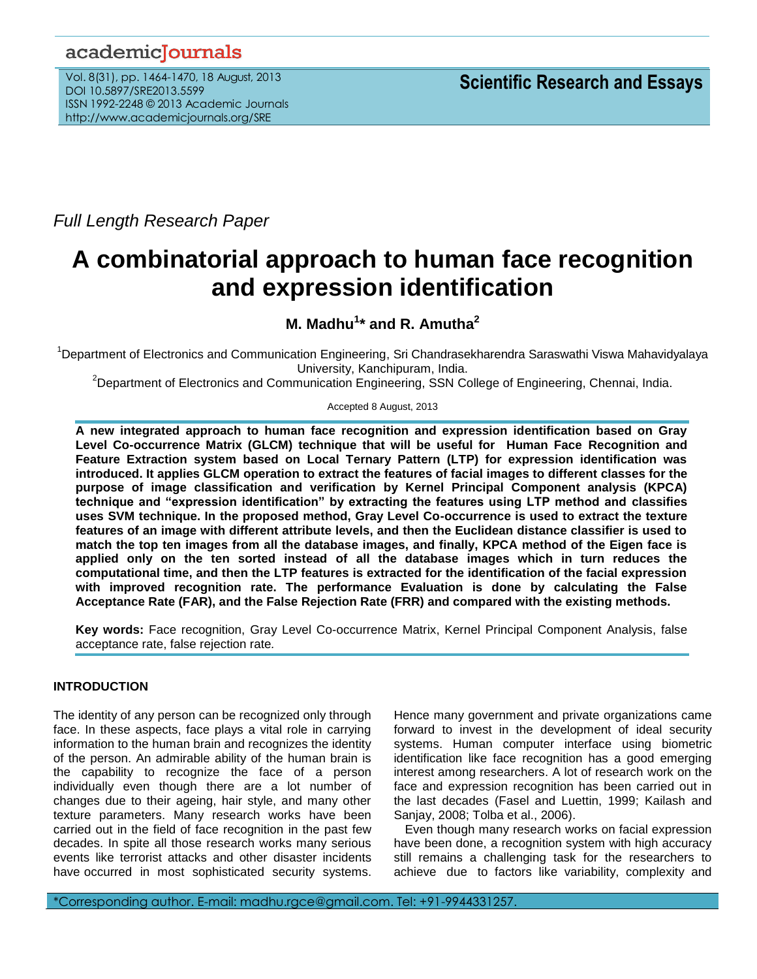# academicJournals

Vol. 8(31), pp. 1464-1470, 18 August, 2013 DOI 10.5897/SRE2013.5599 ISSN 1992-2248 © 2013 Academic Journals http://www.academicjournals.org/SRE

*Full Length Research Paper*

# **A combinatorial approach to human face recognition and expression identification**

# **M. Madhu<sup>1</sup> \* and R. Amutha<sup>2</sup>**

<sup>1</sup>Department of Electronics and Communication Engineering, Sri Chandrasekharendra Saraswathi Viswa Mahavidyalaya University, Kanchipuram, India.

<sup>2</sup>Department of Electronics and Communication Engineering, SSN College of Engineering, Chennai, India.

# Accepted 8 August, 2013

**A new integrated approach to human face recognition and expression identification based on Gray Level Co-occurrence Matrix (GLCM) technique that will be useful for Human Face Recognition and Feature Extraction system based on Local Ternary Pattern (LTP) for expression identification was introduced. It applies GLCM operation to extract the features of facial images to different classes for the purpose of image classification and verification by Kernel Principal Component analysis (KPCA) technique and "expression identification" by extracting the features using LTP method and classifies uses SVM technique. In the proposed method, Gray Level Co-occurrence is used to extract the texture features of an image with different attribute levels, and then the Euclidean distance classifier is used to match the top ten images from all the database images, and finally, KPCA method of the Eigen face is applied only on the ten sorted instead of all the database images which in turn reduces the computational time, and then the LTP features is extracted for the identification of the facial expression with improved recognition rate. The performance Evaluation is done by calculating the False Acceptance Rate (FAR), and the False Rejection Rate (FRR) and compared with the existing methods.**

**Key words:** Face recognition, Gray Level Co-occurrence Matrix, Kernel Principal Component Analysis, false acceptance rate, false rejection rate*.*

# **INTRODUCTION**

The identity of any person can be recognized only through face. In these aspects, face plays a vital role in carrying information to the human brain and recognizes the identity of the person. An admirable ability of the human brain is the capability to recognize the face of a person individually even though there are a lot number of changes due to their ageing, hair style, and many other texture parameters. Many research works have been carried out in the field of face recognition in the past few decades. In spite all those research works many serious events like terrorist attacks and other disaster incidents have occurred in most sophisticated security systems.

Hence many government and private organizations came forward to invest in the development of ideal security systems. Human computer interface using biometric identification like face recognition has a good emerging interest among researchers. A lot of research work on the face and expression recognition has been carried out in the last decades (Fasel and Luettin, 1999; Kailash and Sanjay, 2008; Tolba et al., 2006).

Even though many research works on facial expression have been done, a recognition system with high accuracy still remains a challenging task for the researchers to achieve due to factors like variability, complexity and

\*Corresponding author. E-mail: madhu.rgce@gmail.com. Tel: +91-9944331257.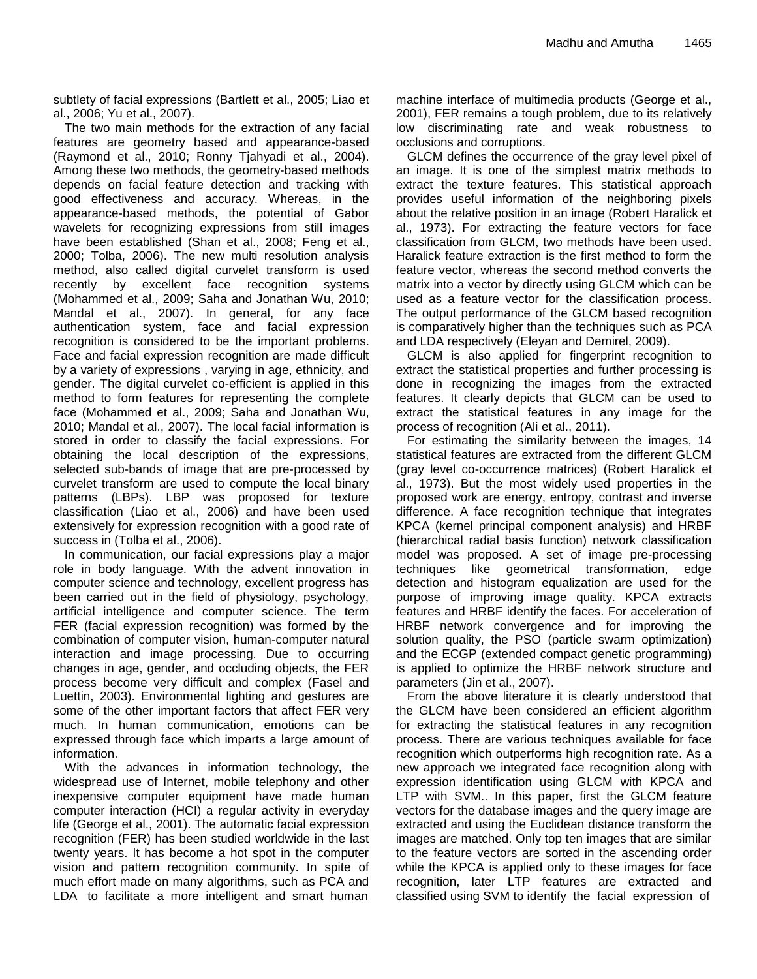subtlety of facial expressions (Bartlett et al., 2005; Liao et al., 2006; Yu et al., 2007).

The two main methods for the extraction of any facial features are geometry based and appearance-based (Raymond et al., 2010; Ronny Tjahyadi et al., 2004). Among these two methods, the geometry-based methods depends on facial feature detection and tracking with good effectiveness and accuracy. Whereas, in the appearance-based methods, the potential of Gabor wavelets for recognizing expressions from still images have been established (Shan et al., 2008; Feng et al., 2000; Tolba, 2006). The new multi resolution analysis method, also called digital curvelet transform is used recently by excellent face recognition systems (Mohammed et al., 2009; Saha and Jonathan Wu, 2010; Mandal et al., 2007). In general, for any face authentication system, face and facial expression recognition is considered to be the important problems. Face and facial expression recognition are made difficult by a variety of expressions , varying in age, ethnicity, and gender. The digital curvelet co-efficient is applied in this method to form features for representing the complete face (Mohammed et al., 2009; Saha and Jonathan Wu, 2010; Mandal et al., 2007). The local facial information is stored in order to classify the facial expressions. For obtaining the local description of the expressions, selected sub-bands of image that are pre-processed by curvelet transform are used to compute the local binary patterns (LBPs). LBP was proposed for texture classification (Liao et al., 2006) and have been used extensively for expression recognition with a good rate of success in (Tolba et al., 2006).

In communication, our facial expressions play a major role in body language. With the advent innovation in computer science and technology, excellent progress has been carried out in the field of physiology, psychology, artificial intelligence and computer science. The term FER (facial expression recognition) was formed by the combination of computer vision, human-computer natural interaction and image processing. Due to occurring changes in age, gender, and occluding objects, the FER process become very difficult and complex (Fasel and Luettin, 2003). Environmental lighting and gestures are some of the other important factors that affect FER very much. In human communication, emotions can be expressed through face which imparts a large amount of information.

With the advances in information technology, the widespread use of Internet, mobile telephony and other inexpensive computer equipment have made human computer interaction (HCI) a regular activity in everyday life (George et al., 2001). The automatic facial expression recognition (FER) has been studied worldwide in the last twenty years. It has become a hot spot in the computer vision and pattern recognition community. In spite of much effort made on many algorithms, such as PCA and LDA to facilitate a more intelligent and smart human

machine interface of multimedia products (George et al., 2001), FER remains a tough problem, due to its relatively low discriminating rate and weak robustness to occlusions and corruptions.

GLCM defines the occurrence of the gray level pixel of an image. It is one of the simplest matrix methods to extract the texture features. This statistical approach provides useful information of the neighboring pixels about the relative position in an image (Robert Haralick et al., 1973). For extracting the feature vectors for face classification from GLCM, two methods have been used. Haralick feature extraction is the first method to form the feature vector, whereas the second method converts the matrix into a vector by directly using GLCM which can be used as a feature vector for the classification process. The output performance of the GLCM based recognition is comparatively higher than the techniques such as PCA and LDA respectively (Eleyan and Demirel, 2009).

GLCM is also applied for fingerprint recognition to extract the statistical properties and further processing is done in recognizing the images from the extracted features. It clearly depicts that GLCM can be used to extract the statistical features in any image for the process of recognition (Ali et al., 2011).

For estimating the similarity between the images, 14 statistical features are extracted from the different GLCM (gray level co-occurrence matrices) (Robert Haralick et al., 1973). But the most widely used properties in the proposed work are energy, entropy, contrast and inverse difference. A face recognition technique that integrates KPCA (kernel principal component analysis) and HRBF (hierarchical radial basis function) network classification model was proposed. A set of image pre-processing techniques like geometrical transformation, edge detection and histogram equalization are used for the purpose of improving image quality. KPCA extracts features and HRBF identify the faces. For acceleration of HRBF network convergence and for improving the solution quality, the PSO (particle swarm optimization) and the ECGP (extended compact genetic programming) is applied to optimize the HRBF network structure and parameters [\(Jin e](http://ieeexplore.ieee.org/search/searchresult.jsp?searchWithin=p_Authors:.QT.Jin%20Zhou.QT.&searchWithin=p_Author_Ids:37596876200&newsearch=true)t al., 2007).

From the above literature it is clearly understood that the GLCM have been considered an efficient algorithm for extracting the statistical features in any recognition process. There are various techniques available for face recognition which outperforms high recognition rate. As a new approach we integrated face recognition along with expression identification using GLCM with KPCA and LTP with SVM.. In this paper, first the GLCM feature vectors for the database images and the query image are extracted and using the Euclidean distance transform the images are matched. Only top ten images that are similar to the feature vectors are sorted in the ascending order while the KPCA is applied only to these images for face recognition, later LTP features are extracted and classified using SVM to identify the facial expression of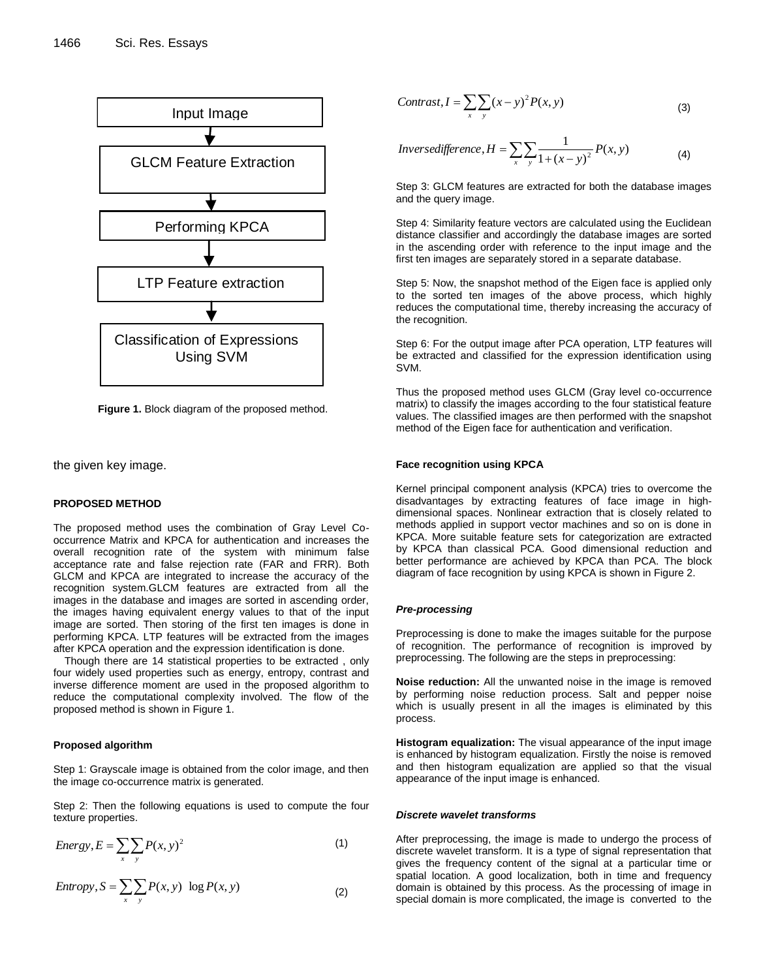

**Figure 1.** Block diagram of the proposed method.

the given key image.

#### **PROPOSED METHOD**

The proposed method uses the combination of Gray Level Cooccurrence Matrix and KPCA for authentication and increases the overall recognition rate of the system with minimum false acceptance rate and false rejection rate (FAR and FRR). Both GLCM and KPCA are integrated to increase the accuracy of the recognition system.GLCM features are extracted from all the images in the database and images are sorted in ascending order, the images having equivalent energy values to that of the input image are sorted. Then storing of the first ten images is done in performing KPCA. LTP features will be extracted from the images after KPCA operation and the expression identification is done.

Though there are 14 statistical properties to be extracted , only four widely used properties such as energy, entropy, contrast and inverse difference moment are used in the proposed algorithm to reduce the computational complexity involved. The flow of the proposed method is shown in Figure 1.

## **Proposed algorithm**

Step 1: Grayscale image is obtained from the color image, and then the image co-occurrence matrix is generated.

Step 2: Then the following equations is used to compute the four texture properties.

Energy, 
$$
E = \sum_{x} \sum_{y} P(x, y)^2
$$
 (1)

$$
Entropy, S = \sum_{x} \sum_{y} P(x, y) \log P(x, y)
$$
 (2)

$$
Contrast, I = \sum_{x} \sum_{y} (x - y)^2 P(x, y)
$$
\n(3)

$$
Inverse difference, H = \sum_{x} \sum_{y} \frac{1}{1 + (x - y)^2} P(x, y)
$$
\n(4)

Step 3: GLCM features are extracted for both the database images and the query image.

Step 4: Similarity feature vectors are calculated using the Euclidean distance classifier and accordingly the database images are sorted in the ascending order with reference to the input image and the first ten images are separately stored in a separate database.

Step 5: Now, the snapshot method of the Eigen face is applied only to the sorted ten images of the above process, which highly reduces the computational time, thereby increasing the accuracy of the recognition.

Step 6: For the output image after PCA operation, LTP features will be extracted and classified for the expression identification using SVM.

Thus the proposed method uses GLCM (Gray level co-occurrence matrix) to classify the images according to the four statistical feature values. The classified images are then performed with the snapshot method of the Eigen face for authentication and verification.

#### **Face recognition using KPCA**

Kernel principal component analysis (KPCA) tries to overcome the disadvantages by extracting features of face image in highdimensional spaces. Nonlinear extraction that is closely related to methods applied in support vector machines and so on is done in KPCA. More suitable feature sets for categorization are extracted by KPCA than classical PCA. Good dimensional reduction and better performance are achieved by KPCA than PCA. The block diagram of face recognition by using KPCA is shown in Figure 2.

#### *Pre-processing*

Preprocessing is done to make the images suitable for the purpose of recognition. The performance of recognition is improved by preprocessing. The following are the steps in preprocessing:

**Noise reduction:** All the unwanted noise in the image is removed by performing noise reduction process. Salt and pepper noise which is usually present in all the images is eliminated by this process.

**Histogram equalization:** The visual appearance of the input image is enhanced by histogram equalization. Firstly the noise is removed and then histogram equalization are applied so that the visual appearance of the input image is enhanced.

#### *Discrete wavelet transforms*

After preprocessing, the image is made to undergo the process of discrete wavelet transform. It is a type of signal representation that gives the frequency content of the signal at a particular time or spatial location. A good localization, both in time and frequency domain is obtained by this process. As the processing of image in special domain is more complicated, the image is converted to the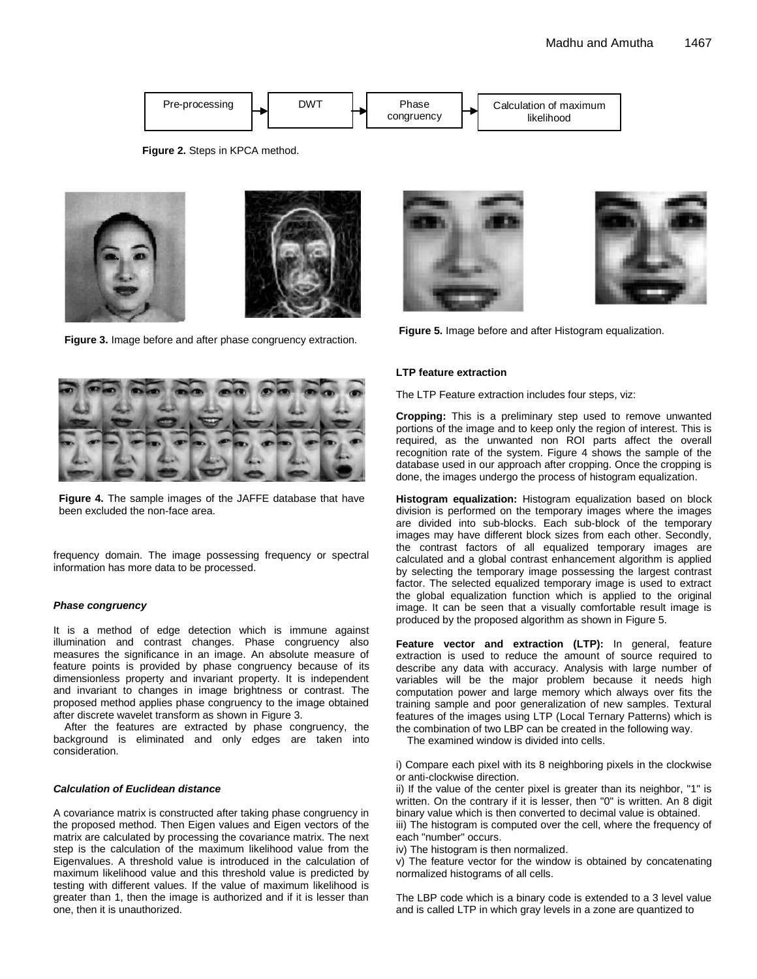

**Figure 2.** Steps in KPCA method.



**Figure 3.** Image before and after phase congruency extraction.



**Figure 4.** The sample images of the JAFFE database that have been excluded the non-face area.

frequency domain. The image possessing frequency or spectral information has more data to be processed.

#### *Phase congruency*

It is a method of edge detection which is immune against illumination and contrast changes. Phase congruency also measures the significance in an image. An absolute measure of feature points is provided by phase congruency because of its dimensionless property and invariant property. It is independent and invariant to changes in image brightness or contrast. The proposed method applies phase congruency to the image obtained after discrete wavelet transform as shown in Figure 3.

After the features are extracted by phase congruency, the background is eliminated and only edges are taken into consideration.

#### *Calculation of Euclidean distance*

A covariance matrix is constructed after taking phase congruency in the proposed method. Then Eigen values and Eigen vectors of the matrix are calculated by processing the covariance matrix. The next step is the calculation of the maximum likelihood value from the Eigenvalues. A threshold value is introduced in the calculation of maximum likelihood value and this threshold value is predicted by testing with different values. If the value of maximum likelihood is greater than 1, then the image is authorized and if it is lesser than one, then it is unauthorized.





**Figure 5.** Image before and after Histogram equalization.

#### **LTP feature extraction**

The LTP Feature extraction includes four steps, viz:

**Cropping:** This is a preliminary step used to remove unwanted portions of the image and to keep only the region of interest. This is required, as the unwanted non ROI parts affect the overall recognition rate of the system. Figure 4 shows the sample of the database used in our approach after cropping. Once the cropping is done, the images undergo the process of histogram equalization.

**Histogram equalization:** Histogram equalization based on block division is performed on the temporary images where the images are divided into sub-blocks. Each sub-block of the temporary images may have different block sizes from each other. Secondly, the contrast factors of all equalized temporary images are calculated and a global contrast enhancement algorithm is applied by selecting the temporary image possessing the largest contrast factor. The selected equalized temporary image is used to extract the global equalization function which is applied to the original image. It can be seen that a visually comfortable result image is produced by the proposed algorithm as shown in Figure 5.

**Feature vector and extraction (LTP):** In general, feature extraction is used to reduce the amount of source required to describe any data with accuracy. Analysis with large number of variables will be the major problem because it needs high computation power and large memory which always [over fits](http://en.wikipedia.org/wiki/Overfitting) the training sample and poor generalization of new samples. Textural features of the images using LTP (Local Ternary Patterns) which is the combination of two LBP can be created in the following way.

The examined window is divided into cells.

i) Compare each pixel with its 8 neighboring pixels in the clockwise or anti-clockwise direction.

ii) If the value of the center pixel is greater than its neighbor, "1" is written. On the contrary if it is lesser, then "0" is written. An 8 digit binary value which is then converted to decimal value is obtained. iii) The histogram is computed over the cell, where the frequency of each "number" occurs.

iv) The histogram is then normalized.

v) The feature vector for the window is obtained by concatenating normalized histograms of all cells.

The LBP code which is a binary code is extended to a 3 level value and is called LTP in which gray levels in a zone are quantized to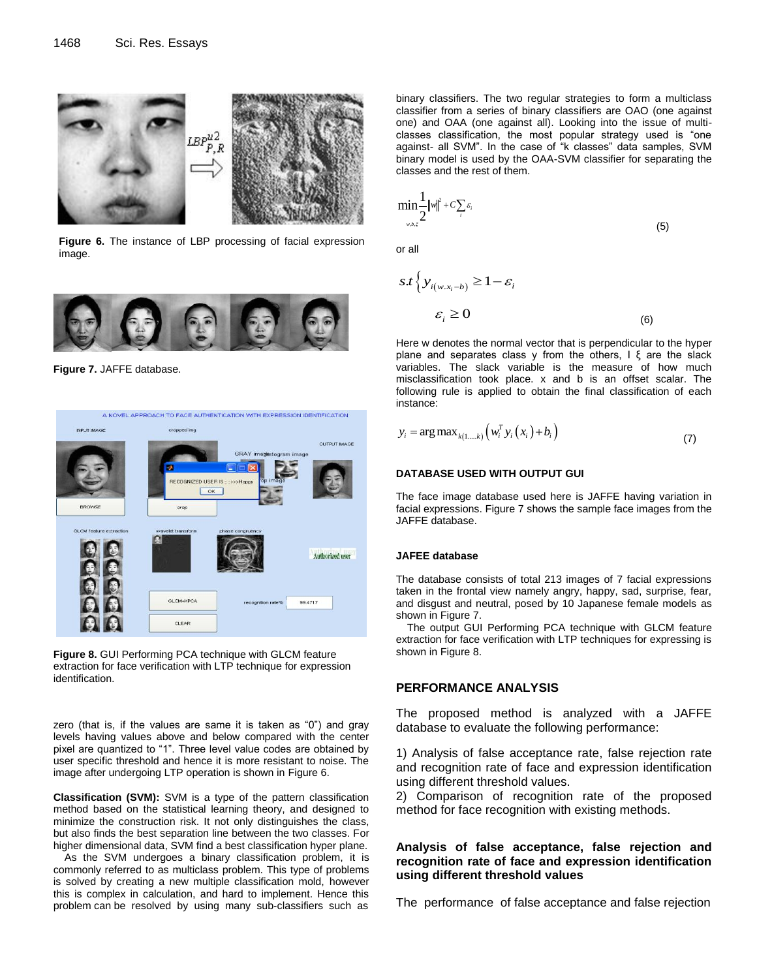

**Figure 6.** The instance of LBP processing of facial expression image.



**Figure 7.** JAFFE database.



**Figure 8.** GUI Performing PCA technique with GLCM feature extraction for face verification with LTP technique for expression identification.

zero (that is, if the values are same it is taken as "0") and gray levels having values above and below compared with the center pixel are quantized to "1". Three level value codes are obtained by user specific threshold and hence it is more resistant to noise. The image after undergoing LTP operation is shown in Figure 6.

**Classification (SVM):** SVM is a type of the pattern classification method based on the statistical learning theory, and designed to minimize the construction risk. It not only distinguishes the class, but also finds the best separation line between the two classes. For higher dimensional data, SVM find a best classification hyper plane.

As the SVM undergoes a binary classification problem, it is commonly referred to as multiclass problem. This type of problems is solved by creating a new multiple classification mold, however this is complex in calculation, and hard to implement. Hence this problem can be resolved by using many sub-classifiers such as

binary classifiers. The two regular strategies to form a multiclass classifier from a series of binary classifiers are OAO (one against one) and OAA (one against all). Looking into the issue of multiclasses classification, the most popular strategy used is "one against- all SVM". In the case of "k classes" data samples, SVM binary model is used by the OAA-SVM classifier for separating the classes and the rest of them.

$$
\min_{w,b,\xi} \frac{1}{2} \|w\|^2 + C \sum_i \varepsilon_i
$$
\n(5)

or all

$$
s.t \ \left\{ y_{i(w.x_i-b)} \ge 1 - \varepsilon_i \right\}
$$
\n
$$
\varepsilon_i \ge 0
$$
\n(6)

Here w denotes the normal vector that is perpendicular to the hyper plane and separates class y from the others,  $I \xi$  are the slack variables. The slack variable is the measure of how much misclassification took place. x and b is an offset scalar. The following rule is applied to obtain the final classification of each instance:

$$
y_i = \arg \max_{k(1,\dots,k)} \left( w_i^T y_i(x_i) + b_i \right)
$$
\n(7)

#### **DATABASE USED WITH OUTPUT GUI**

The face image database used here is JAFFE having variation in facial expressions. Figure 7 shows the sample face images from the JAFFE database.

#### **JAFEE database**

The database consists of total 213 images of 7 facial expressions taken in the frontal view namely angry, happy, sad, surprise, fear, and disgust and neutral, posed by 10 Japanese female models as shown in Figure 7.

The output GUI Performing PCA technique with GLCM feature extraction for face verification with LTP techniques for expressing is shown in Figure 8.

# **PERFORMANCE ANALYSIS**

The proposed method is analyzed with a JAFFE database to evaluate the following performance:

1) Analysis of false acceptance rate, false rejection rate and recognition rate of face and expression identification using different threshold values.

2) Comparison of recognition rate of the proposed method for face recognition with existing methods.

## **Analysis of false acceptance, false rejection and recognition rate of face and expression identification using different threshold values**

The performance of false acceptance and false rejection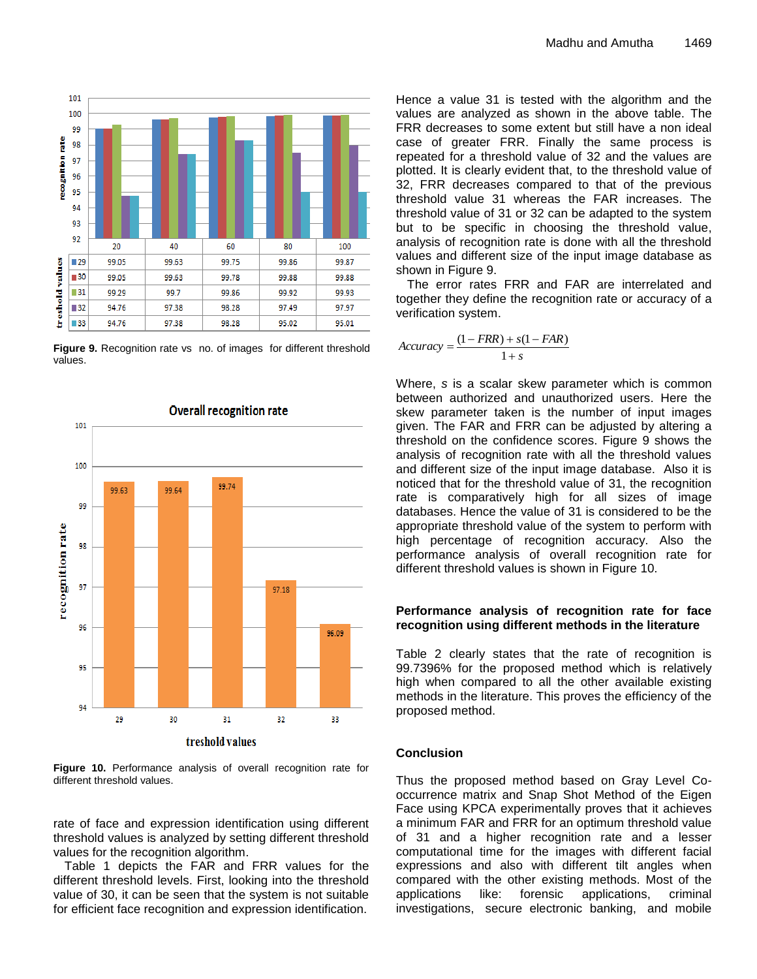

**Figure 9.** Recognition rate vs no. of images for different threshold values.



**Figure 10.** Performance analysis of overall recognition rate for different threshold values.

rate of face and expression identification using different threshold values is analyzed by setting different threshold values for the recognition algorithm.

Table 1 depicts the FAR and FRR values for the different threshold levels. First, looking into the threshold value of 30, it can be seen that the system is not suitable for efficient face recognition and expression identification.

Hence a value 31 is tested with the algorithm and the values are analyzed as shown in the above table. The FRR decreases to some extent but still have a non ideal case of greater FRR. Finally the same process is repeated for a threshold value of 32 and the values are plotted. It is clearly evident that, to the threshold value of 32, FRR decreases compared to that of the previous threshold value 31 whereas the FAR increases. The threshold value of 31 or 32 can be adapted to the system but to be specific in choosing the threshold value, analysis of recognition rate is done with all the threshold values and different size of the input image database as shown in Figure 9.

The error rates FRR and FAR are interrelated and together they define the recognition rate or accuracy of a verification system.

$$
Accuracy = \frac{(1 - FRR) + s(1 - FAR)}{1 + s}
$$

Where, *s* is a scalar skew parameter which is common between authorized and unauthorized users. Here the skew parameter taken is the number of input images given. The FAR and FRR can be adjusted by altering a threshold on the confidence scores. Figure 9 shows the analysis of recognition rate with all the threshold values and different size of the input image database. Also it is noticed that for the threshold value of 31, the recognition rate is comparatively high for all sizes of image databases. Hence the value of 31 is considered to be the appropriate threshold value of the system to perform with high percentage of recognition accuracy. Also the performance analysis of overall recognition rate for different threshold values is shown in Figure 10.

## **Performance analysis of recognition rate for face recognition using different methods in the literature**

Table 2 clearly states that the rate of recognition is 99.7396% for the proposed method which is relatively high when compared to all the other available existing methods in the literature. This proves the efficiency of the proposed method.

# **Conclusion**

Thus the proposed method based on Gray Level Cooccurrence matrix and Snap Shot Method of the Eigen Face using KPCA experimentally proves that it achieves a minimum FAR and FRR for an optimum threshold value of 31 and a higher recognition rate and a lesser computational time for the images with different facial expressions and also with different tilt angles when compared with the other existing methods. Most of the applications like: forensic applications, criminal investigations, secure electronic banking, and mobile